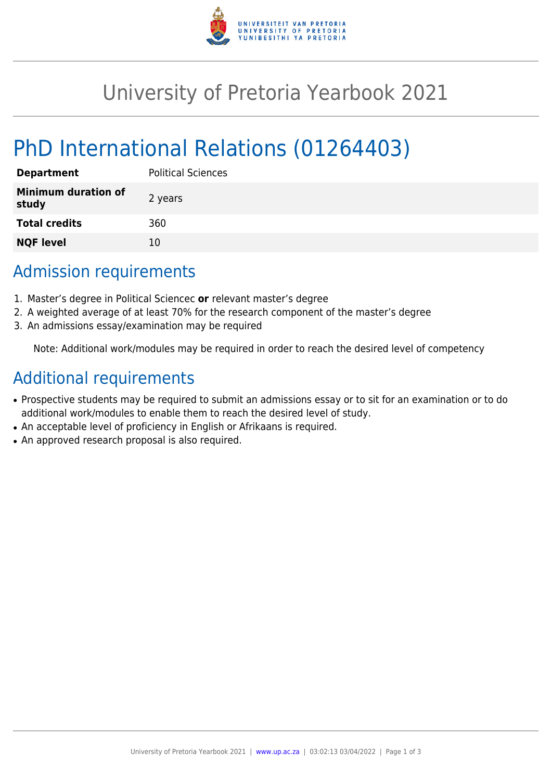

# University of Pretoria Yearbook 2021

# PhD International Relations (01264403)

| <b>Department</b>                   | <b>Political Sciences</b> |
|-------------------------------------|---------------------------|
| <b>Minimum duration of</b><br>study | 2 years                   |
| <b>Total credits</b>                | 360                       |
| <b>NQF level</b>                    | 10                        |

## Admission requirements

- 1. Master's degree in Political Sciencec **or** relevant master's degree
- 2. A weighted average of at least 70% for the research component of the master's degree
- 3. An admissions essay/examination may be required

Note: Additional work/modules may be required in order to reach the desired level of competency

## Additional requirements

- Prospective students may be required to submit an admissions essay or to sit for an examination or to do additional work/modules to enable them to reach the desired level of study.
- An acceptable level of proficiency in English or Afrikaans is required.
- An approved research proposal is also required.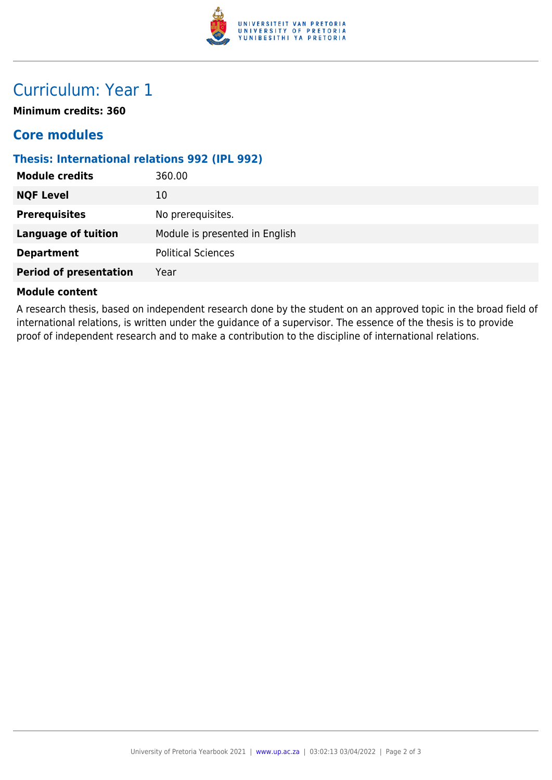

## Curriculum: Year 1

**Minimum credits: 360**

### **Core modules**

#### **Thesis: International relations 992 (IPL 992)**

| <b>Module credits</b>         | 360.00                         |
|-------------------------------|--------------------------------|
| <b>NQF Level</b>              | 10                             |
| <b>Prerequisites</b>          | No prerequisites.              |
| <b>Language of tuition</b>    | Module is presented in English |
| <b>Department</b>             | <b>Political Sciences</b>      |
| <b>Period of presentation</b> | Year                           |
|                               |                                |

#### **Module content**

A research thesis, based on independent research done by the student on an approved topic in the broad field of international relations, is written under the guidance of a supervisor. The essence of the thesis is to provide proof of independent research and to make a contribution to the discipline of international relations.